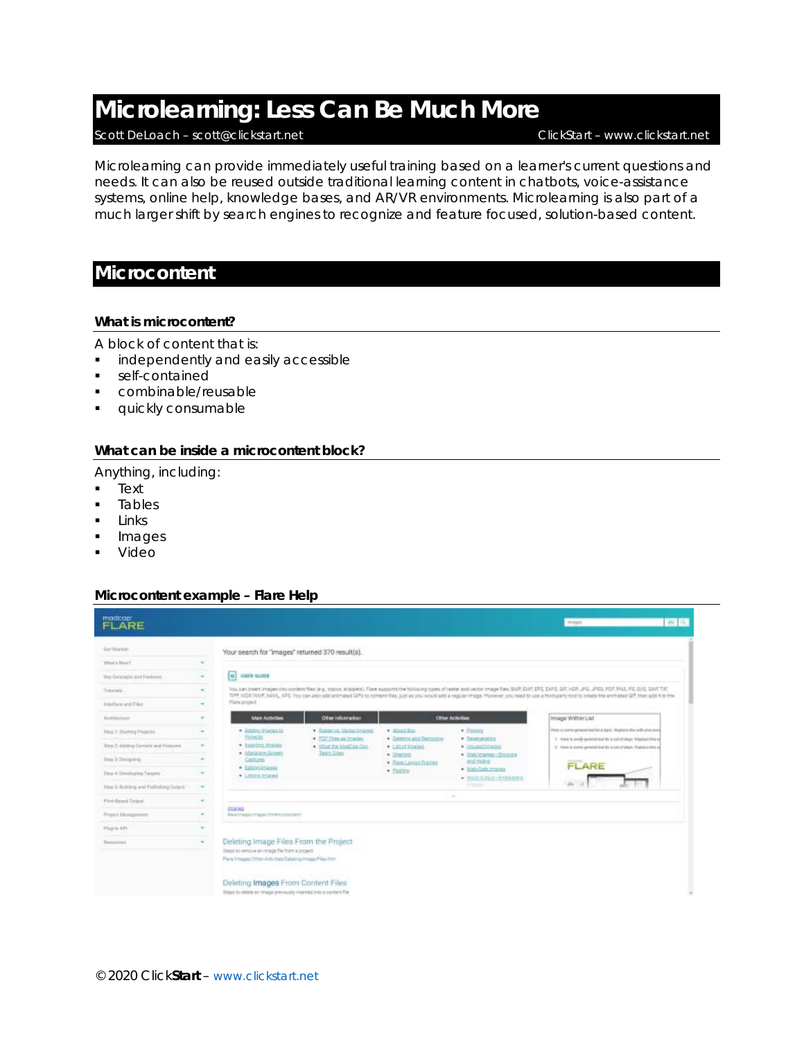# **Microlearning: Less Can Be Much More**

#### Scott DeLoach – scott@clickstart.net ClickStart – www.clickstart.net

Microlearning can provide immediately useful training based on a learner's current questions and needs. It can also be reused outside traditional learning content in chatbots, voice-assistance systems, online help, knowledge bases, and AR/VR environments. Microlearning is also part of a much larger shift by search engines to recognize and feature focused, solution-based content.

# **Microcontent**

#### **What is microcontent?**

A block of content that is:

- **independently and easily accessible**
- **self-contained**
- combinable/reusable
- **quickly consumable**

#### **What can be inside a microcontent block?**

Anything, including:

- Text
- **Tables**
- **Links**
- **Images**
- Video

#### **Microcontent example – Flare Help**

| Set litarism                           |               | Your search for "images" returned 370 result(s).                                                                                                                                                                                                                                                                                                                                                                             |                                                  |                                           |                                                |                                                                                                                         |
|----------------------------------------|---------------|------------------------------------------------------------------------------------------------------------------------------------------------------------------------------------------------------------------------------------------------------------------------------------------------------------------------------------------------------------------------------------------------------------------------------|--------------------------------------------------|-------------------------------------------|------------------------------------------------|-------------------------------------------------------------------------------------------------------------------------|
| What's New?                            | $\alpha$      |                                                                                                                                                                                                                                                                                                                                                                                                                              |                                                  |                                           |                                                |                                                                                                                         |
| this Date right and Festures           | $\sim$        | Eq. UMER GUIDE                                                                                                                                                                                                                                                                                                                                                                                                               |                                                  |                                           |                                                |                                                                                                                         |
| Tokerala                               | $\sim$        | You can intert images into content free (e.g., topics, anipped). Flare supports the following types of raster and vector image flee: BMP, EMP, ERPS, GR HOP, PA, JPDD, PDP, PAUL PDP, PAUL PD, SVG, DUP TVF,<br>TIPE WOR WARE, ARIO, ARS: You can also sell animated GPs to content files, just as you would add a regular strage. Move recy ou meet to use a third-party tool to create the animated GP, then add if to the |                                                  |                                           |                                                |                                                                                                                         |
| Attendance and Pilot                   | ٠             | Flare project.                                                                                                                                                                                                                                                                                                                                                                                                               |                                                  |                                           |                                                |                                                                                                                         |
| Anklandsen                             | ٠             | <b>Visit Artisties</b>                                                                                                                                                                                                                                                                                                                                                                                                       | Other Information                                |                                           | <b>Differ Activities</b>                       | Image Within List                                                                                                       |
| Slight: Starting Projects              | ÷             | $+$ Address Process 12<br><b>Projects</b>                                                                                                                                                                                                                                                                                                                                                                                    | * Sader of Meller Imposs                         | · Montilling                              | · Fassex                                       | Hele is come private but by a logic. Replace the with yield over                                                        |
| Ting 2: Adding Content and Femiums     | ٠             | · Insting maps:                                                                                                                                                                                                                                                                                                                                                                                                              | . FOT Files as images<br>. What the Mastras Dec. | · Delettra and Services<br>· Limit Ingels | * Repersenting<br>· Unionthrapes               | 1. Inside private both a set strategic Replacement<br>2 Viewe in summi general had the a set of chips. Foreface this is |
| <b>Joy 3 Decyring</b>                  | ٠             | · Managero Science<br>Centures                                                                                                                                                                                                                                                                                                                                                                                               | Team Eines                                       | $+$ Downtown<br>· Page Levout Frances     | · Web Images - Gimpons<br>and Halical          |                                                                                                                         |
| <b>Dies 4 Developms Targets</b>        | ٠             | · Estocimano<br>· Lexico Images                                                                                                                                                                                                                                                                                                                                                                                              |                                                  | · Pastro                                  | . Web Date Impacts<br>* Wald Gutad - Endangers | FLARE                                                                                                                   |
| Sing 5, Braking and Pallishing Gallace | $\,$          |                                                                                                                                                                                                                                                                                                                                                                                                                              |                                                  |                                           | <b>TERRIT</b>                                  |                                                                                                                         |
| Fried Based Datest                     | ٠             |                                                                                                                                                                                                                                                                                                                                                                                                                              |                                                  |                                           | $\sim$                                         |                                                                                                                         |
| <b>Project Management</b>              | $\sim$        | 23, 2012<br>Resimass maps inversions her.                                                                                                                                                                                                                                                                                                                                                                                    |                                                  |                                           |                                                |                                                                                                                         |
| Flogrin APS                            | $\mathcal{M}$ |                                                                                                                                                                                                                                                                                                                                                                                                                              |                                                  |                                           |                                                |                                                                                                                         |
| Research                               | $\sim$        | Deleting Image Files From the Project                                                                                                                                                                                                                                                                                                                                                                                        |                                                  |                                           |                                                |                                                                                                                         |
|                                        |               | Steps to remove an image flie from a project<br>Fire Images Other Activities Delating Image Files Imm                                                                                                                                                                                                                                                                                                                        |                                                  |                                           |                                                |                                                                                                                         |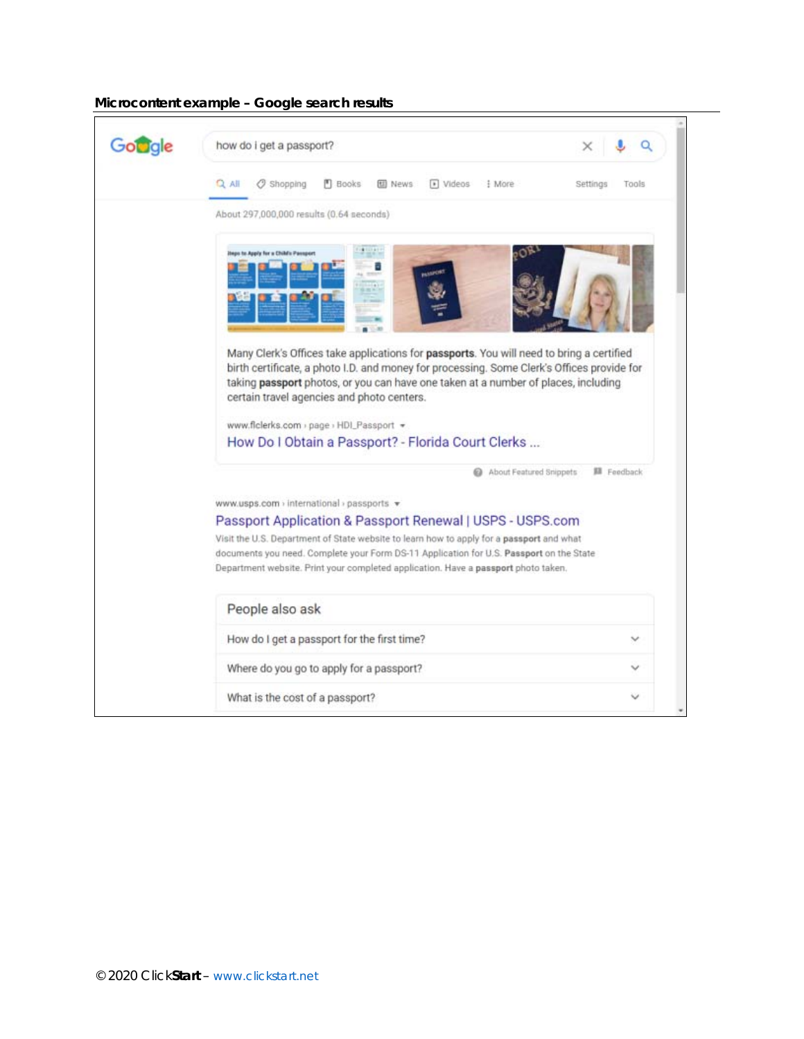| Google | how do i get a passport?                                                                                                                                                                                                                                                                                                               | Q<br>×            |
|--------|----------------------------------------------------------------------------------------------------------------------------------------------------------------------------------------------------------------------------------------------------------------------------------------------------------------------------------------|-------------------|
|        | Q All<br>C Shopping<br><b>Books</b><br><b>EI</b> News<br>$\triangleright$ Videos<br>: More                                                                                                                                                                                                                                             | Settings<br>Tools |
|        | About 297,000,000 results (0.64 seconds)                                                                                                                                                                                                                                                                                               |                   |
|        | <b>Itago to Apply for a Child's Pansport</b>                                                                                                                                                                                                                                                                                           |                   |
|        | Many Clerk's Offices take applications for passports. You will need to bring a certified<br>birth certificate, a photo I.D. and money for processing. Some Clerk's Offices provide for                                                                                                                                                 |                   |
|        | taking passport photos, or you can have one taken at a number of places, including<br>certain travel agencies and photo centers.<br>www.flclerks.com > page > HDI_Passport =<br>How Do I Obtain a Passport? - Florida Court Clerks                                                                                                     |                   |
|        | About Featured Snippets                                                                                                                                                                                                                                                                                                                | 图 Feedback        |
|        | www.usps.com > international > passports =                                                                                                                                                                                                                                                                                             |                   |
|        | Passport Application & Passport Renewal   USPS - USPS.com<br>Visit the U.S. Department of State website to learn how to apply for a passport and what<br>documents you need. Complete your Form DS-11 Application for U.S. Passport on the State<br>Department website. Print your completed application. Have a passport photo taken. |                   |
|        | People also ask                                                                                                                                                                                                                                                                                                                        |                   |
|        | How do I get a passport for the first time?                                                                                                                                                                                                                                                                                            |                   |
|        | Where do you go to apply for a passport?                                                                                                                                                                                                                                                                                               |                   |

## **Microcontent example – Google search results**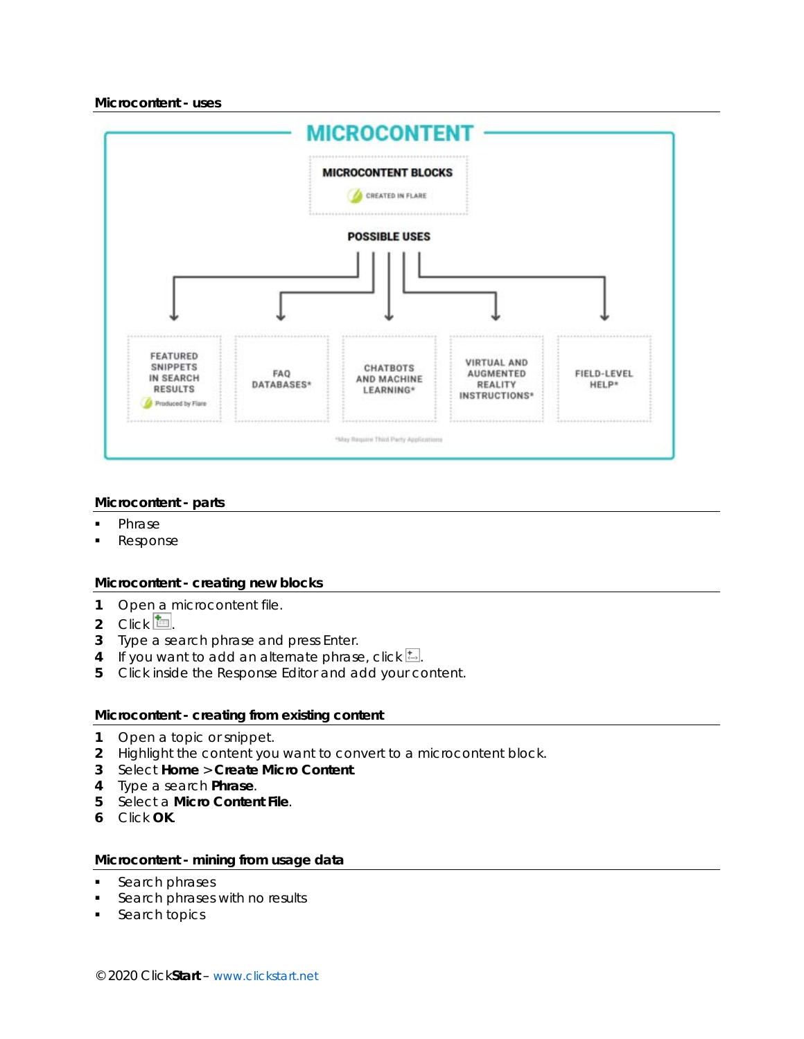

#### **Microcontent - parts**

- Phrase
- Response

#### **Microcontent - creating new blocks**

- **1** Open a microcontent file.
- 2 Click  $\mathbf{E}$
- **3** Type a search phrase and press Enter.
- **4** If you want to add an alternate phrase, click ...
- **5** Click inside the Response Editor and add your content.

#### **Microcontent - creating from existing content**

- **1** Open a topic or snippet.
- **2** Highlight the content you want to convert to a microcontent block.
- **3** Select **Home** > **Create Micro Content**.
- **4** Type a search **Phrase**.
- **5** Select a **Micro Content File**.
- **6** Click **OK**.

#### **Microcontent - mining from usage data**

- Search phrases
- **Search phrases with no results**
- Search topics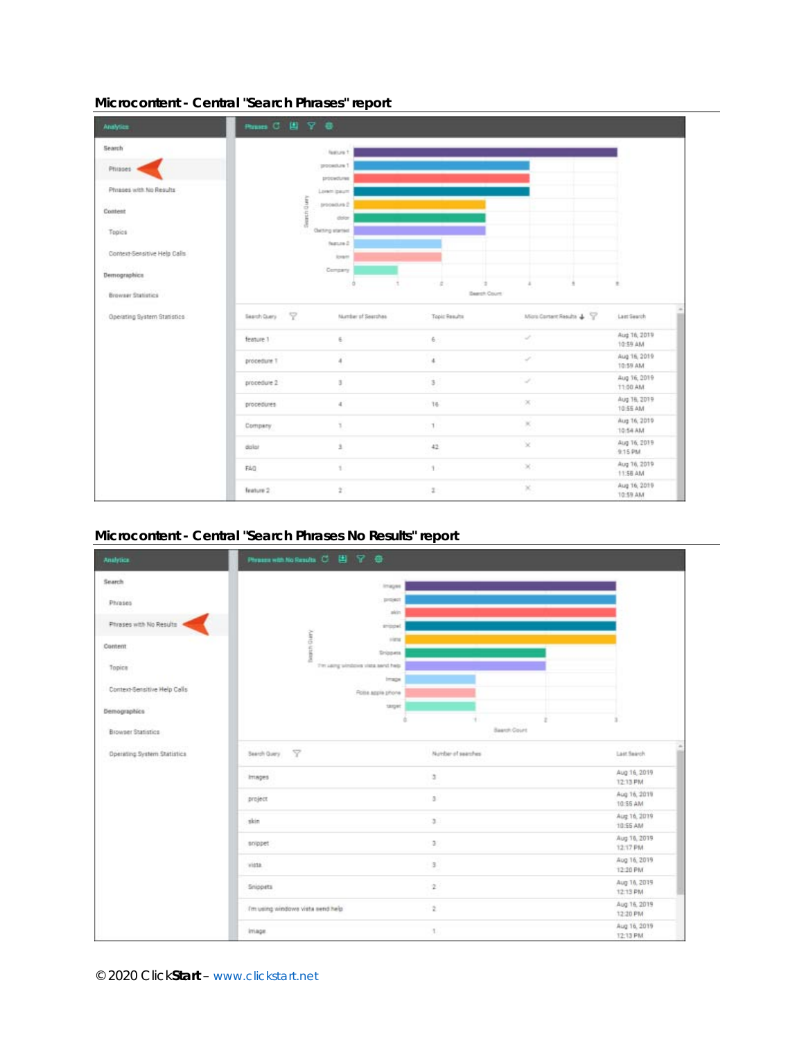#### **Microcontent - Central "Search Phrases" report**



#### **Microcontent - Central "Search Phrases No Results" report**

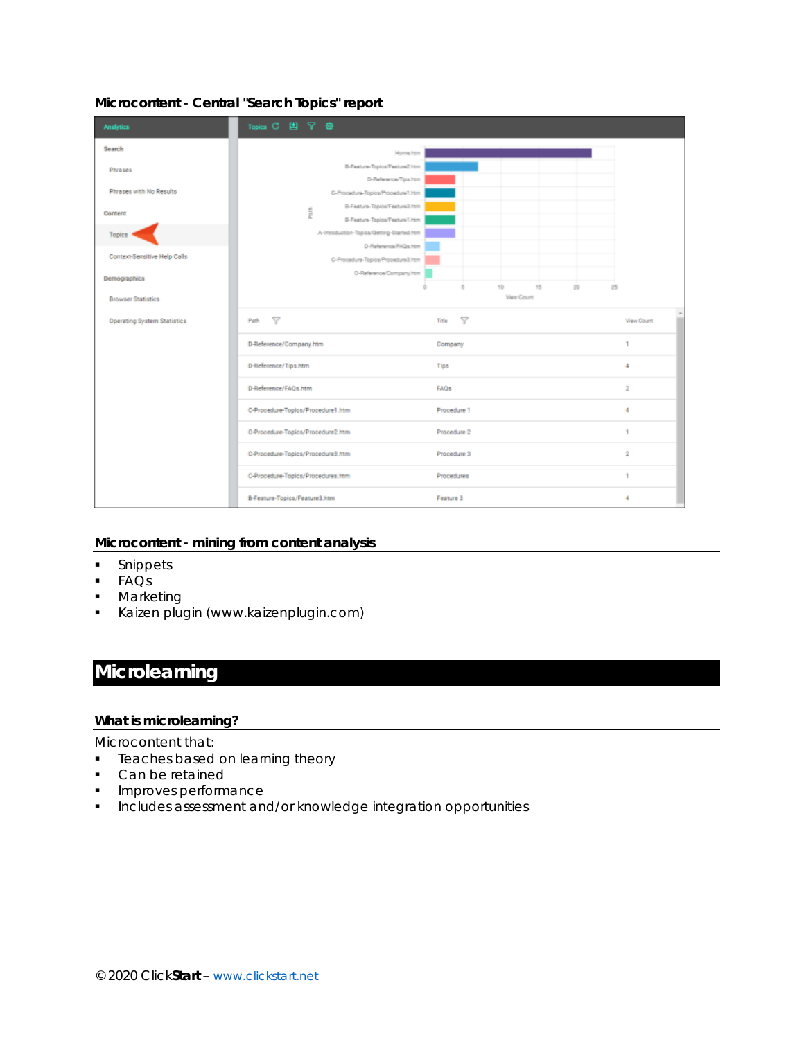#### **Microcontent - Central "Search Topics" report**

| <b>Analytics</b>             | Topics C 国 了 卷                            |                                                     |            |
|------------------------------|-------------------------------------------|-----------------------------------------------------|------------|
| Search                       | Home htm                                  |                                                     |            |
| Phrases                      | B-Feature-Topica/Feature2.htm             |                                                     |            |
|                              | D-Reference/Tips.htm                      |                                                     |            |
| Phrases with No Results      | C-Procedure-Topics/Procedure1.htm         |                                                     |            |
| Content                      | B-Feature-Topica/Feature3.htm<br>Path     |                                                     |            |
|                              | B-Feature-Topica/Feature1.htm             |                                                     |            |
| Topics                       | A-Introduction-Topica/Getting-Started.htm |                                                     |            |
| Context-Sensitive Help Calls | D-Reference/FAQs.htm                      |                                                     |            |
|                              | C-Procedure-Topica/Procedure3.htm         |                                                     |            |
| Demographics                 | D-Reference/Company.htm                   |                                                     |            |
| <b>Browser Statistics</b>    |                                           | s.<br>10<br>15<br>$20 -$<br>ö.<br><b>View Count</b> | $25 -$     |
| Operating System Statistics  | Y<br>Path                                 | 7<br>Title                                          | View Count |
|                              | D-Reference/Company.htm                   | Company                                             | T          |
|                              | D-Reference/Tips.htm                      | Tips                                                | 4          |
|                              | D-Reference/FAQs.htm                      | <b>FAQs</b>                                         | z          |
|                              | C-Procedure-Topics/Procedure1.htm         | Procedure 1                                         | 4          |
|                              | C-Procedure-Topics/Procedure2.htm         | Procedure 2                                         | 1          |
|                              | C-Procedure-Topics/Procedure3.htm         | Procedure 3                                         | $\bar{2}$  |
|                              | C-Procedure-Topics/Procedures.htm         | Procedures                                          | 1          |
|                              | B-Feature-Topics/Feature3.htm             | Feature 3                                           | 4          |

#### **Microcontent - mining from content analysis**

- **Snippets**
- FAQs
- **Marketing**
- Kaizen plugin (www.kaizenplugin.com)

# **Microlearning**

#### **What is microlearning?**

Microcontent that:

- **Teaches based on learning theory**
- Can be retained
- **Improves performance**
- **Includes assessment and/or knowledge integration opportunities**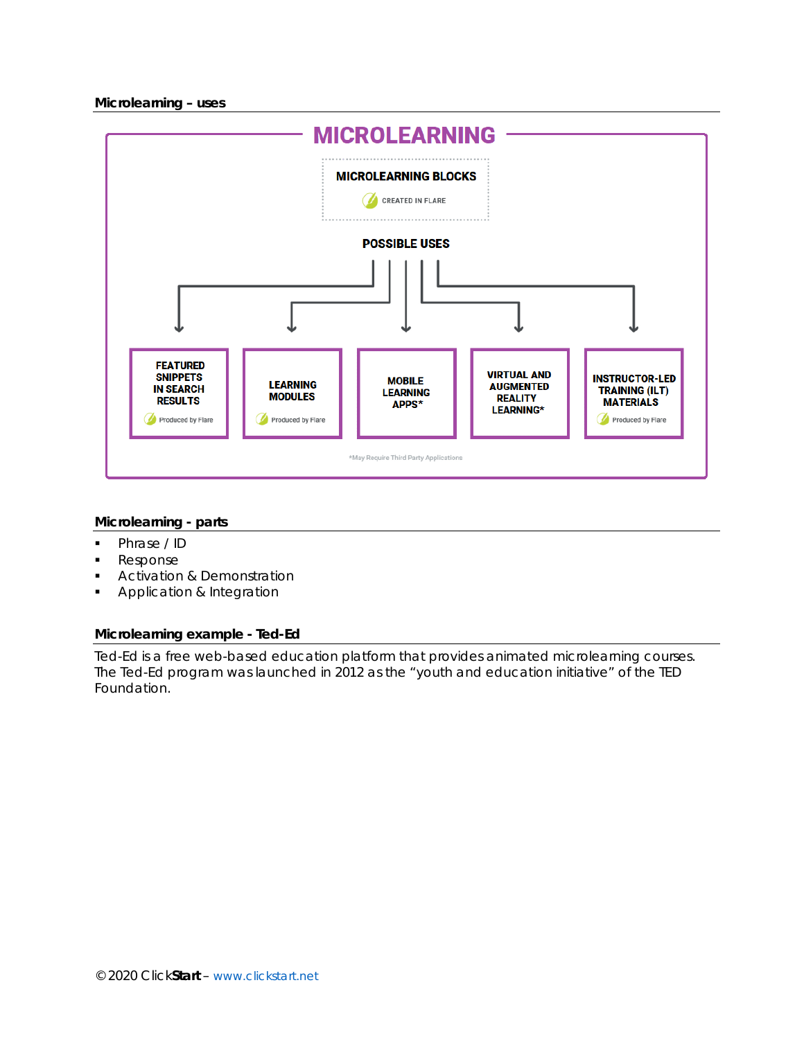

### **Microlearning - parts**

- Phrase / ID
- Response
- **Activation & Demonstration**
- Application & Integration

#### **Microlearning example - Ted-Ed**

Ted-Ed is a free web-based education platform that provides animated microlearning courses. The Ted-Ed program was launched in 2012 as the "youth and education initiative" of the TED Foundation.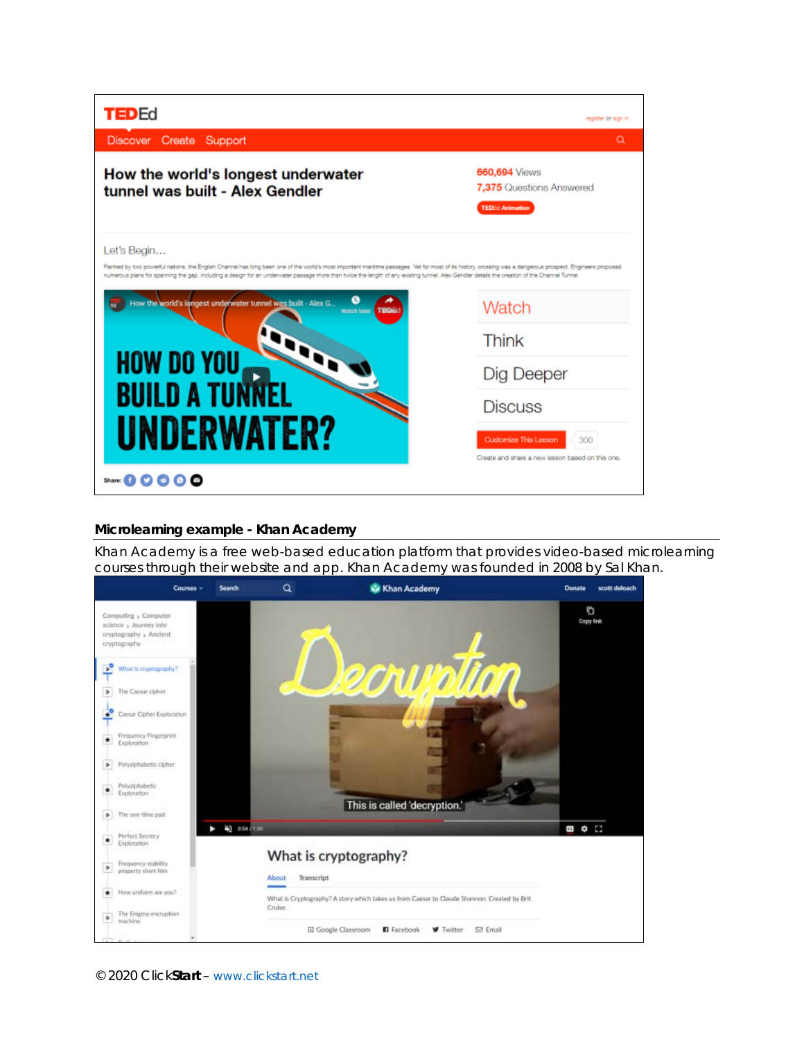| <b>TEDEd</b><br>register or sign in                                                                                                                                                                                                                                                                                                                                                                                                                                                                                                      |                                                                                  |  |  |  |  |  |  |
|------------------------------------------------------------------------------------------------------------------------------------------------------------------------------------------------------------------------------------------------------------------------------------------------------------------------------------------------------------------------------------------------------------------------------------------------------------------------------------------------------------------------------------------|----------------------------------------------------------------------------------|--|--|--|--|--|--|
| Discover Create Support                                                                                                                                                                                                                                                                                                                                                                                                                                                                                                                  | Q                                                                                |  |  |  |  |  |  |
| How the world's longest underwater<br>tunnel was built - Alex Gendler                                                                                                                                                                                                                                                                                                                                                                                                                                                                    | 660,694 Views<br>7,375 Questions Answered<br><b>TEDEd Animation</b>              |  |  |  |  |  |  |
| Let's Begin<br>Flanked by two powerful nations, the English Channel has long been one of the world's most important maritime passages. Yet for most of its history, orossing was a dangerous prospect. Engineers proposed<br>numerous plans for spanning the gap, including a design for an underwater passage more than twice the length of any existing tunnel. Alex Gendler details the creation of the Channel Tunnel<br>low the world's longest underwater tunnel was built - Alex G<br>Watch<br><b>Watch later</b><br><b>TEIGH</b> |                                                                                  |  |  |  |  |  |  |
| <b>HOW DO YOU</b>                                                                                                                                                                                                                                                                                                                                                                                                                                                                                                                        | Think                                                                            |  |  |  |  |  |  |
|                                                                                                                                                                                                                                                                                                                                                                                                                                                                                                                                          | Dig Deeper                                                                       |  |  |  |  |  |  |
| <b>BUILD A TUNNEL</b>                                                                                                                                                                                                                                                                                                                                                                                                                                                                                                                    | <b>Discuss</b>                                                                   |  |  |  |  |  |  |
| <b>UNDERWATER?</b>                                                                                                                                                                                                                                                                                                                                                                                                                                                                                                                       | Customize This Lesson<br>300<br>Create and share a new lesson based on this one. |  |  |  |  |  |  |
| ⊶⊶.8 O © © ©                                                                                                                                                                                                                                                                                                                                                                                                                                                                                                                             |                                                                                  |  |  |  |  |  |  |

### **Microlearning example - Khan Academy**

Khan Academy is a free web-based education platform that provides video-based microlearning courses through their website and app. Khan Academy was founded in 2008 by Sal Khan.

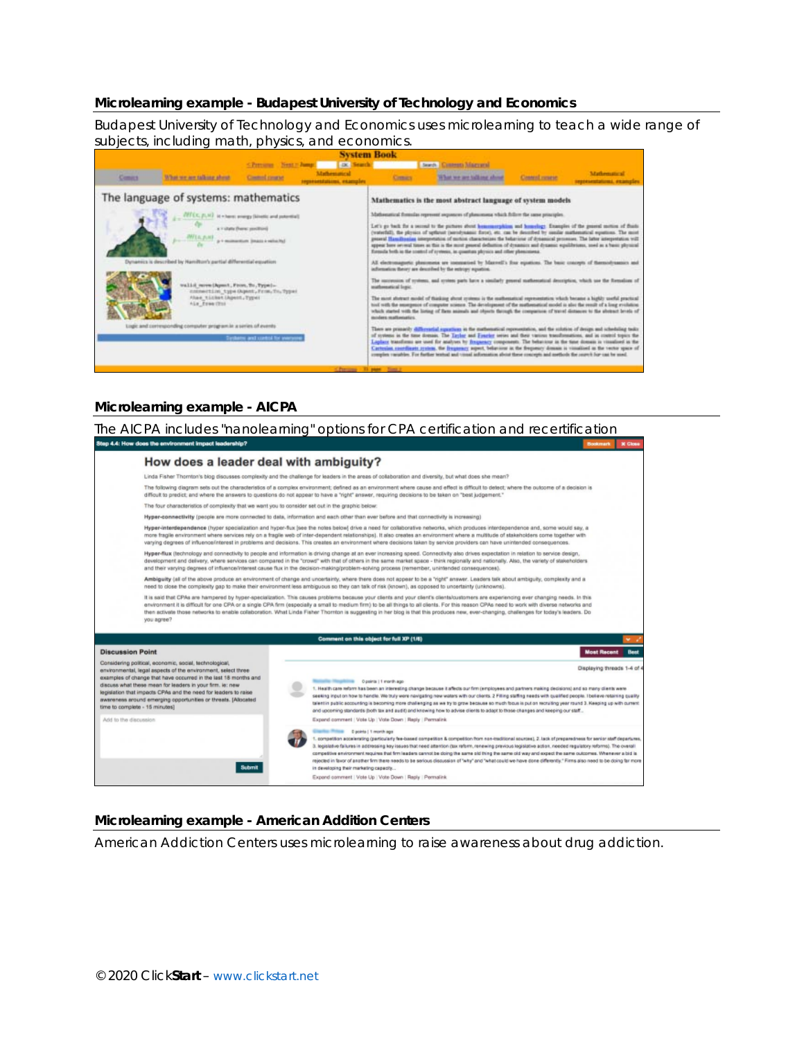#### **Microlearning example - Budapest University of Technology and Economics**

Budapest University of Technology and Economics uses microlearning to teach a wide range of subjects, including math, physics, and economics.



#### **Microlearning example - AICPA**

The AICPA includes "nanolearning" options for CPA certification and recertification Step 4.4: How does the environment impact leadership? How does a leader deal with ambiguity? Linda Fisher Thornton's blog discusses complexity and the challenge for leaders in the areas of collaboration and diversity, but what does she mean? The following diagram sets out the characteristics of a complex environment defined as an environment where cause and effect is difficult to detect, where the outcome of a decision is<br>difficult to predict, and where the an The four characteristics of complexity that we want you to consider set out in the graphic below Hyper-connectivity (people are more connected to data, information and each other than ever before and that connectivity is increasing) Hyper-interdependence (hyper specialization and hyper-flux (see the notes below) drive a need for collaborative networks, which produces interdependence and, some would say, a more fraglie environment where services rely on a fraglie web of inter-dependent relationships). It also creates an environment where a multitude of stakeholders come together with<br>varying degrees of influence/interest in Hyperflux (technology and connectivity to people and information is driving change at an ever increasing speed. Connectivity also drives expectation in relation to service design<br>development and delivery, where services ca Ambiguity (all of the above produce an environment of change and uncertainty, where there does not appear to be a "right" answer. Leaders talk about ambiguity, complexity and a need to close the complexity gap to make their environment less ambiguous so they can talk of risk (known), as opposed to uncertainty (unknowns). It is said that CPAs are hampered by hyper-specialization. This causes problems because your clients and your client's clients/customers are experiencing ever changing needs. In this vonment it is difficult for one CPA or a single CPA firm (especially a small to medium firm) to be all things to all clients. For this reason CPAs need to work with diven<br>In activate those networks to enable collaboration. se netwo than activate challenges for today's leaders. Do you agree? Comment on this object for full XP (1/8) **Most Recent** Bes **Discussion Point** Considering political, economic, social, technological Considering political, escarcing, social, technological, ested three<br>existences of the environmental, select three<br>examples of change fluit fluite occurred in the last 150 months and<br>discuss what these mean for leaders in Displaying threads 1-4 o ths and O poins | 1 month ago<br>- Alealth case reform has been an interesting change because it affocts our firm (employees and partners making distaktive and interest respectively. It is also made that were<br>Seeking it pot on the ar Expand comment | Vote Up | Vote Down | Reply | Permalink ad to the di B C points | 1 month ago 1. competion accelerating (periodisfy fee-based competition & competition from non-baditional sources). 2. lack of preparedness for envior staff departures<br>3. legislative failures in addressing leay issues that need attent Submit Expand comment | Vote Up | Vote Down | Reply | Permalink

#### **Microlearning example - American Addition Centers**

American Addiction Centers uses microlearning to raise awareness about drug addiction.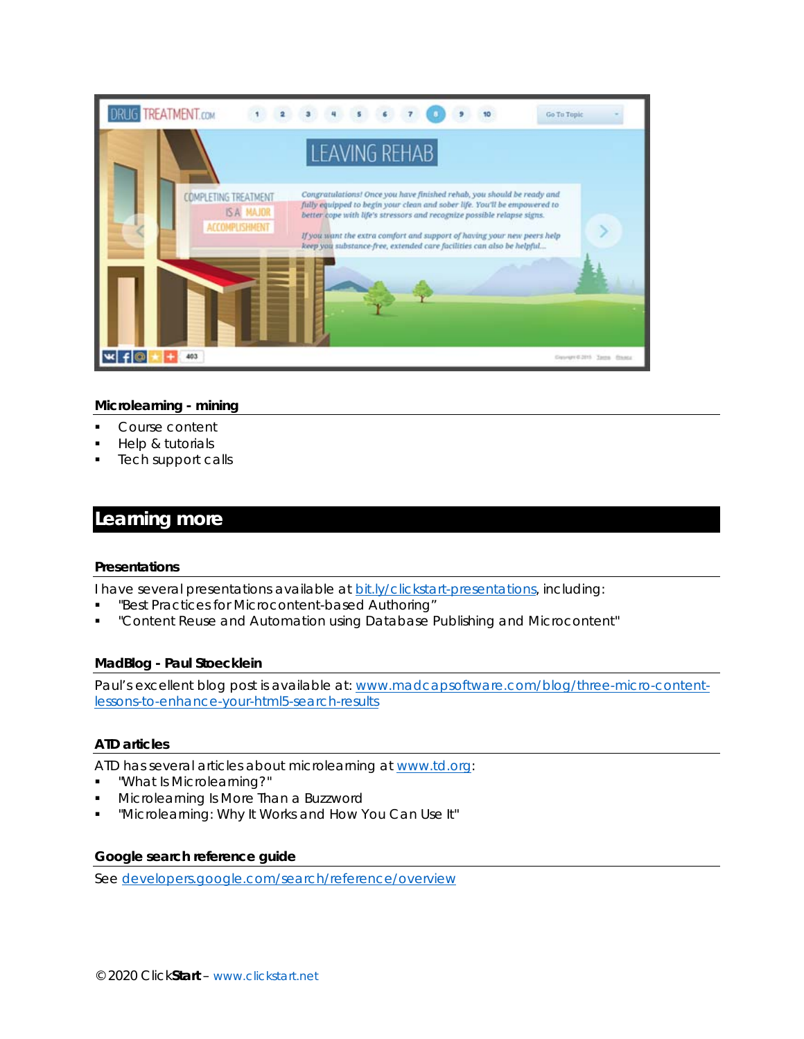

#### **Microlearning - mining**

- Course content
- Help & tutorials
- Tech support calls

# **Learning more**

#### **Presentations**

I have several presentations available at bit.ly/clickstart-presentations, including:

- "Best Practices for Microcontent-based Authoring"
- "Content Reuse and Automation using Database Publishing and Microcontent"

#### **MadBlog - Paul Stoecklein**

Paul's excellent blog post is available at: www.madcapsoftware.com/blog/three-micro-contentlessons-to-enhance-your-html5-search-results

#### **ATD articles**

ATD has several articles about microlearning at www.td.org:

- "What Is Microlearning?"
- Microlearning Is More Than a Buzzword
- "Microlearning: Why It Works and How You Can Use It"

#### **Google search reference guide**

See developers.google.com/search/reference/overview